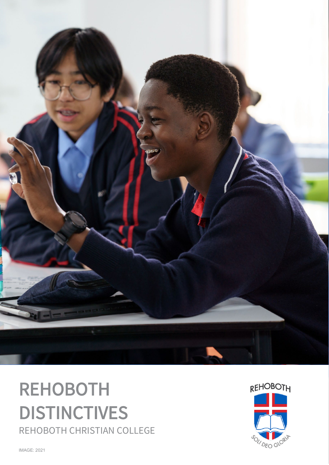

# REHOBOTH **DISTINCTIVES**<br>REHOBOTH CHRISTIAN COLLEGE



IMAGE: 2021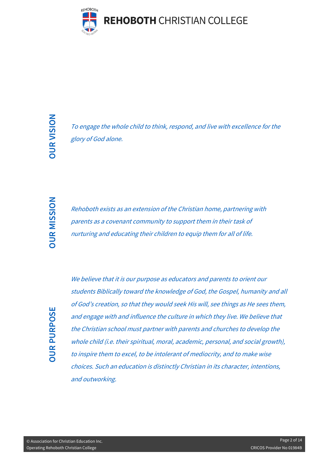

To engage the whole child to think, respond, and live with excellence for the glory of God alone.

Rehoboth exists as an extension of the Christian home, partnering with parents as a covenant community to support them in their task of nurturing and educating their children to equip them for all of life.

To engage the whole child to think, respond, and live with excellence for the<br>
glory of God alone.<br>
Somewheats as a covenant community to support them in their task of<br>
parents as a covenant community to support them in th We believe that it is our purpose as educators and parents to orient our students Biblically toward the knowledge of God, the Gospel, humanity and all of God's creation, so that they would seek His will, see things as He sees them, and engage with and influence the culture in which they live. We believe that the Christian school must partner with parents and churches to develop the whole child (*i.e. their spiritual, moral, academic, personal, and social growth*), to inspire them to excel, to be intolerant of mediocrity, and to make wise choices. Such an education is distinctly Christian in its character, intentions, and outworking.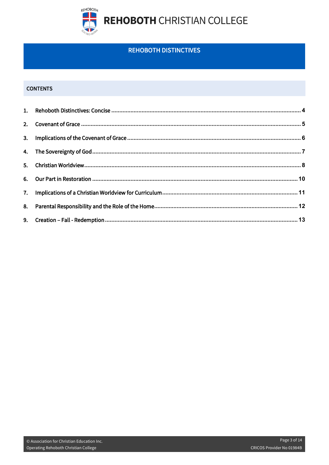

### **REHOBOTH DISTINCTIVES**

#### **CONTENTS**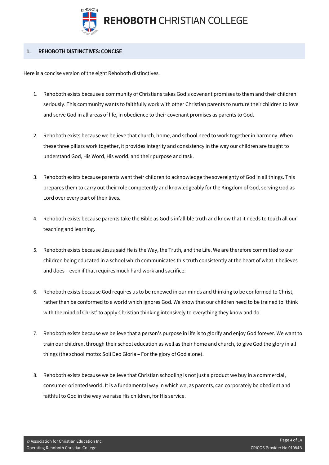

#### <span id="page-3-0"></span>1. REHOBOTH DISTINCTIVES: CONCISE

Here is a concise version of the eight Rehoboth distinctives.

- 1. Rehoboth exists because a community of Christians takes God's covenant promises to them and their children seriously. This community wants to faithfully work with other Christian parents to nurture their children to love and serve God in all areas of life, in obedience to their covenant promises as parents to God.
- 2. Rehoboth exists because we believe that church, home, and school need to work together in harmony. When these three pillars work together, it provides integrity and consistency in the way our children are taught to understand God, His Word, His world, and their purpose and task.
- 3. Rehoboth exists because parents want their children to acknowledge the sovereignty of God in all things. This prepares them to carry out their role competently and knowledgeably for the Kingdom of God, serving God as Lord over every part of their lives.
- 4. Rehoboth exists because parents take the Bible as God's infallible truth and know that it needs to touch all our teaching and learning.
- 5. Rehoboth exists because Jesus said He is the Way, the Truth, and the Life. We are therefore committed to our children being educated in a school which communicates this truth consistently at the heart of what it believes and does – even if that requires much hard work and sacrifice.
- 6. Rehoboth exists because God requires us to be renewed in our minds and thinking to be conformed to Christ, rather than be conformed to a world which ignores God. We know that our children need to be trained to 'think with the mind of Christ' to apply Christian thinking intensively to everything they know and do.
- 7. Rehoboth exists because we believe that a person's purpose in life is to glorify and enjoy God forever. We want to train our children, through their school education as well as their home and church, to give God the glory in all things (the school motto: Soli Deo Gloria – For the glory of God alone).
- 8. Rehoboth exists because we believe that Christian schooling is not just a product we buy in a commercial, consumer-oriented world. It is a fundamental way in which we, as parents, can corporately be obedient and faithful to God in the way we raise His children, for His service.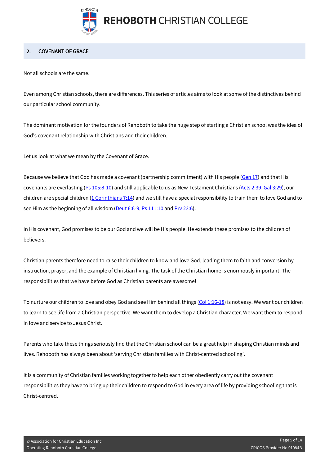

#### <span id="page-4-0"></span>2. COVENANT OF GRACE

Not all schools are the same.

Even among Christian schools, there are differences. This series of articles aims to look at some of the distinctives behind our particular school community.

The dominant motivation for the founders of Rehoboth to take the huge step of starting a Christian school was the idea of God's covenant relationship with Christians and their children.

Let us look at what we mean by the Covenant of Grace.

Because we believe that God has made a covenant (partnership commitment) with His people [\(Gen 17\)](https://www.biblegateway.com/passage/?search=Genesis%2017&version=ESV) and that His covenants are everlasting [\(Ps 105:8-10\)](https://biblia.com/bible/esv/Ps%20105.8-10) and still applicable to us as New Testament Christians [\(Acts 2:39,](https://biblia.com/bible/esv/Acts%202.39) [Gal 3:29\)](https://biblia.com/bible/esv/Gal%203.29), our children are special children [\(1 Corinthians 7:14\)](https://biblia.com/bible/esv/1%20Cor%207.14) and we still have a special responsibility to train them to love God and to see Him as the beginning of all wisdom [\(Deut 6:6-9,](https://biblia.com/bible/esv/Deut%206.6-9) [Ps 111:10](https://biblia.com/bible/esv/Ps%20111.10) an[d Prv 22:6\)](https://biblia.com/bible/esv/Prov%2022.6).

In His covenant, God promises to be our God and we will be His people. He extends these promises to the children of believers.

Christian parents therefore need to raise their children to know and love God, leading them to faith and conversion by instruction, prayer, and the example of Christian living. The task of the Christian home is enormously important! The responsibilities that we have before God as Christian parents are awesome!

To nurture our children to love and obey God and see Him behind all things  $(Col 1:16-18)$  is not easy. We want our children to learn to see life from a Christian perspective. We want them to develop a Christian character. We want them to respond in love and service to Jesus Christ.

Parents who take these things seriously find that the Christian school can be a great help in shaping Christian minds and lives. Rehoboth has always been about 'serving Christian families with Christ-centred schooling'.

It is a community of Christian families working together to help each other obediently carry out the covenant responsibilities they have to bring up their children to respond to God in every area of life by providing schooling that is Christ-centred.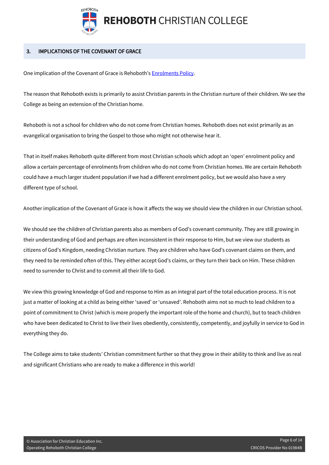

#### <span id="page-5-0"></span>3. IMPLICATIONS OF THE COVENANT OF GRACE

One implication of the Covenant of Grace is Rehoboth'[s Enrolments Policy.](https://alpha.rehoboth.wa.edu.au/docs/enrolments-policy/) 

The reason that Rehoboth exists is primarily to assist Christian parents in the Christian nurture of their children. We see the College as being an extension of the Christian home.

Rehoboth is not a school for children who do not come from Christian homes. Rehoboth does not exist primarily as an evangelical organisation to bring the Gospel to those who might not otherwise hear it.

That in itself makes Rehoboth quite different from most Christian schools which adopt an 'open' enrolment policy and allow a certain percentage of enrolments from children who do not come from Christian homes. We are certain Rehoboth could have a much larger student population if we had a different enrolment policy, but we would also have a very different type of school.

Another implication of the Covenant of Grace is how it affects the way we should view the children in our Christian school.

We should see the children of Christian parents also as members of God's covenant community. They are still growing in their understanding of God and perhaps are often inconsistent in their response to Him, but we view our students as citizens of God's Kingdom, needing Christian nurture. They are children who have God's covenant claims on them, and they need to be reminded often of this. They either accept God's claims, or they turn their back on Him. These children need to surrender to Christ and to commit all their life to God.

We view this growing knowledge of God and response to Him as an integral part of the total education process. It is not just a matter of looking at a child as being either 'saved' or 'unsaved'. Rehoboth aims not so much to lead children to a point of commitment to Christ (which is more properly the important role of the home and church), but to teach children who have been dedicated to Christ to live their lives obediently, consistently, competently, and joyfully in service to God in everything they do.

The College aims to take students' Christian commitment further so that they grow in their ability to think and live as real and significant Christians who are ready to make a difference in this world!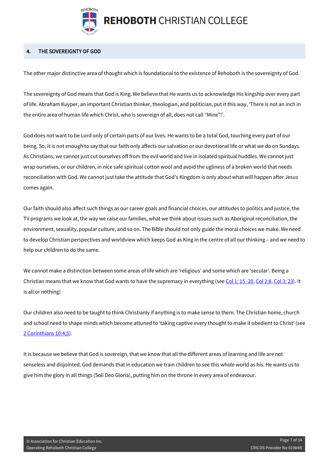

**REHOBOTH CHRISTIAN COLLEGE** 

#### <span id="page-6-0"></span>4. THE SOVEREIGNTY OF GOD

The other major distinctive area of thought which is foundational to the existence of Rehoboth is the sovereignty of God.

The sovereignty of God means that God is King. We believe that He wants us to acknowledge His kingship over every part of life. Abraham Kuyper, an important Christian thinker, theologian, and politician, put it this way, 'There is not an inch in the entire area of human life which Christ, who is sovereign of all, does not call "Mine"!'.

God does not want to be Lord only of certain parts of our lives. He wants to be a total God, touching every part of our being. So, it is not enough to say that our faith only affects our salvation or our devotional life or what we do on Sundays. As Christians, we cannot just cut ourselves off from the evil world and live in isolated spiritual huddles. We cannot just wrap ourselves, or our children, in nice safe spiritual cotton wool and avoid the ugliness of a broken world that needs reconciliation with God. We cannot just take the attitude that God's Kingdom is only about what will happen after Jesus comes again.

Our faith should also affect such things as our career goals and financial choices, our attitudes to politics and justice, the TV programs we look at, the way we raise our families, what we think about issues such as Aboriginal reconciliation, the environment, sexuality, popular culture, and so on. The Bible should not only guide the moral choices we make. We need to develop Christian perspectives and worldview which keeps God as King in the centre of all our thinking – and we need to help our children to do the same.

We cannot make a distinction between some areas of life which are 'religious' and some which are 'secular'. Being a Christian means that we know that God wants to have the supremacy in everything (se[e Col 1: 15 -20,](https://biblia.com/bible/esv/Col%201.%2015%20-20) [Col 2:8,](https://biblia.com/bible/esv/Col%202.8) [Col 3: 23\)](https://biblia.com/bible/esv/Col%203.%2023). It is all or nothing!

Our children also need to be taught to think Christianly if anything is to make sense to them. The Christian home, church and school need to shape minds which become attuned to 'taking captive every thought to make it obedient to Christ' (see [2 Corinthians 10:4,5\)](https://biblia.com/bible/esv/2%20Cor%2010.4).

It is because we believe that God is sovereign, that we know that all the different areas of learning and life are not senseless and disjointed. God demands that in education we train children to see this whole world as his. He wants us to give him the glory in all things (Soli Deo Gloria), putting him on the throne in every area of endeavour.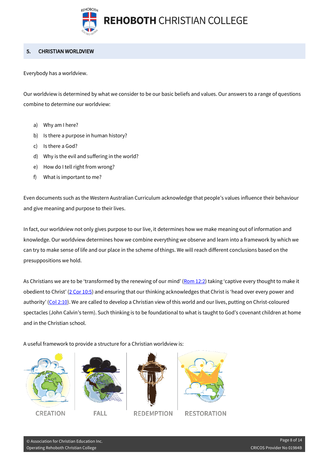

#### <span id="page-7-0"></span>5. CHRISTIAN WORLDVIEW

Everybody has a worldview.

Our worldview is determined by what we consider to be our basic beliefs and values. Our answers to a range of questions combine to determine our worldview:

- a) Why am I here?
- b) Is there a purpose in human history?
- c) Is there a God?
- d) Why is the evil and suffering in the world?
- e) How do I tell right from wrong?
- f) What is important to me?

Even documents such as the Western Australian Curriculum acknowledge that people's values influence their behaviour and give meaning and purpose to their lives.

In fact, our worldview not only gives purpose to our live, it determines how we make meaning out of information and knowledge. Our worldview determines how we combine everything we observe and learn into a framework by which we can try to make sense of life and our place in the scheme of things. We will reach different conclusions based on the presuppositions we hold.

As Christians we are to be 'transformed by the renewing of our mind' [\(Rom 12:2\)](https://biblia.com/bible/esv/Rom%2012.2) taking 'captive every thought to make it obedient to Christ' [\(2 Cor 10:5\)](https://biblia.com/bible/esv/2%20Cor%2010.5) and ensuring that our thinking acknowledges that Christ is 'head over every power and authority' [\(Col 2:10\)](https://biblia.com/bible/esv/Col%202.10). We are called to develop a Christian view of this world and our lives, putting on Christ-coloured spectacles (John Calvin's term). Such thinking is to be foundational to what is taught to God's covenant children at home and in the Christian school.

A useful framework to provide a structure for a Christian worldview is:







**REDEMPTION** 



**RESTORATION**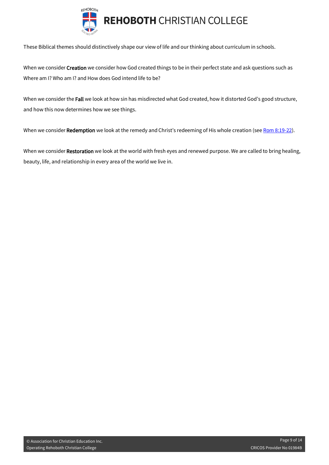

These Biblical themes should distinctively shape our view of life and our thinking about curriculum in schools.

When we consider Creation we consider how God created things to be in their perfect state and ask questions such as Where am I? Who am I? and How does God intend life to be?

When we consider the Fall we look at how sin has misdirected what God created, how it distorted God's good structure, and how this now determines how we see things.

When we consider Redemption we look at the remedy and Christ's redeeming of His whole creation (se[e Rom 8:19-22\)](https://biblia.com/bible/esv/Rom%208.19-22).

When we consider Restoration we look at the world with fresh eyes and renewed purpose. We are called to bring healing, beauty, life, and relationship in every area of the world we live in.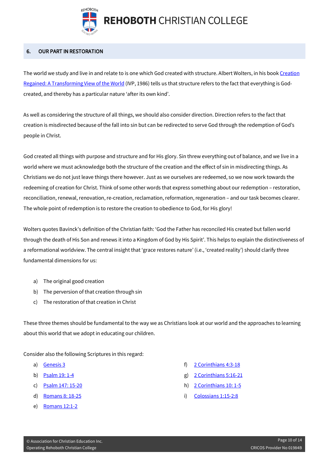

**REHOBOTH CHRISTIAN COLLEGE** 

#### <span id="page-9-0"></span>6. OUR PART IN RESTORATION

The world we study and live in and relate to is one which God created with structure. Albert Wolters, in his boo[k Creation](https://www.google.com.au/books/edition/Creation_Regained/tNSR1_f02PYC?hl=en&gbpv=1&printsec=frontcover)  [Regained: A Transforming View of the World](https://www.google.com.au/books/edition/Creation_Regained/tNSR1_f02PYC?hl=en&gbpv=1&printsec=frontcover) (IVP, 1986) tells us that structure refers to the fact that everything is Godcreated, and thereby has a particular nature 'after its own kind'.

As well as considering the structure of all things, we should also consider direction. Direction refers to the fact that creation is misdirected because of the fall into sin but can be redirected to serve God through the redemption of God's people in Christ.

God created all things with purpose and structure and for His glory. Sin threw everything out of balance, and we live in a world where we must acknowledge both the structure of the creation and the effect of sin in misdirecting things. As Christians we do not just leave things there however. Just as we ourselves are redeemed, so we now work towards the redeeming of creation for Christ. Think of some other words that express something about our redemption – restoration, reconciliation, renewal, renovation, re-creation, reclamation, reformation, regeneration – and our task becomes clearer. The whole point of redemption is to restore the creation to obedience to God, for His glory!

Wolters quotes Bavinck's definition of the Christian faith: 'God the Father has reconciled His created but fallen world through the death of His Son and renews it into a Kingdom of God by His Spirit'. This helps to explain the distinctiveness of a reformational worldview. The central insight that 'grace restores nature' (i.e., 'created reality') should clarify three fundamental dimensions for us:

- a) The original good creation
- b) The perversion of that creation through sin
- c) The restoration of that creation in Christ

These three themes should be fundamental to the way we as Christians look at our world and the approaches to learning about this world that we adopt in educating our children.

Consider also the following Scriptures in this regard:

- a) [Genesis 3](https://www.biblegateway.com/passage/?search=Genesis%203&version=ESV)
- b) [Psalm 19: 1-4](https://biblia.com/bible/esv/Ps%2019.%201-4)
- c) [Psalm 147: 15-20](https://biblia.com/bible/esv/Ps%20147.%2015-20)
- d) [Romans 8: 18-25](https://biblia.com/bible/esv/Rom%208.%2018-25)
- e) [Romans 12:1-2](https://biblia.com/bible/esv/Rom%2012.1-2)
- f) [2 Corinthians 4:3-18](https://biblia.com/bible/esv/2%20Cor%204.3-18)
- g) [2 Corinthians 5:16-21](https://biblia.com/bible/esv/2%20Cor%205.16-21)
- h) [2 Corinthians 10: 1-5](https://biblia.com/bible/esv/2%20Cor%2010.%201-5)
- i) [Colossians 1:15-2:8](https://biblia.com/bible/esv/Col%201.15-2.8)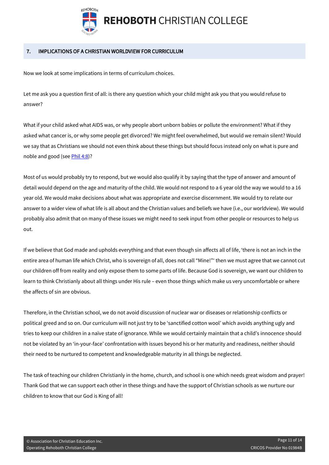

#### <span id="page-10-0"></span>7. IMPLICATIONS OF A CHRISTIAN WORLDVIEW FOR CURRICULUM

Now we look at some implications in terms of curriculum choices.

Let me ask you a question first of all: is there any question which your child might ask you that you would refuse to answer?

What if your child asked what AIDS was, or why people abort unborn babies or pollute the environment? What if they asked what cancer is, or why some people get divorced? We might feel overwhelmed, but would we remain silent? Would we say that as Christians we should not even think about these things but should focus instead only on what is pure and noble and good (se[e Phil 4:8\)](https://biblia.com/bible/esv/Phil%204.8)?

Most of us would probably try to respond, but we would also qualify it by saying that the type of answer and amount of detail would depend on the age and maturity of the child. We would not respond to a 6 year old the way we would to a 16 year old. We would make decisions about what was appropriate and exercise discernment. We would try to relate our answer to a wider view of what life is all about and the Christian values and beliefs we have (i.e., our worldview). We would probably also admit that on many of these issues we might need to seek input from other people or resources to help us out.

If we believe that God made and upholds everything and that even though sin affects all of life, 'there is not an inch in the entire area of human life which Christ, who is sovereign of all, does not call "Mine!"' then we must agree that we cannot cut our children off from reality and only expose them to some parts of life. Because God is sovereign, we want our children to learn to think Christianly about all things under His rule – even those things which make us very uncomfortable or where the affects of sin are obvious.

Therefore, in the Christian school, we do not avoid discussion of nuclear war or diseases or relationship conflicts or political greed and so on. Our curriculum will not just try to be 'sanctified cotton wool' which avoids anything ugly and tries to keep our children in a naïve state of ignorance. While we would certainly maintain that a child's innocence should not be violated by an 'in-your-face' confrontation with issues beyond his or her maturity and readiness, neither should their need to be nurtured to competent and knowledgeable maturity in all things be neglected.

The task of teaching our children Christianly in the home, church, and school is one which needs great wisdom and prayer! Thank God that we can support each other in these things and have the support of Christian schools as we nurture our children to know that our God is King of all!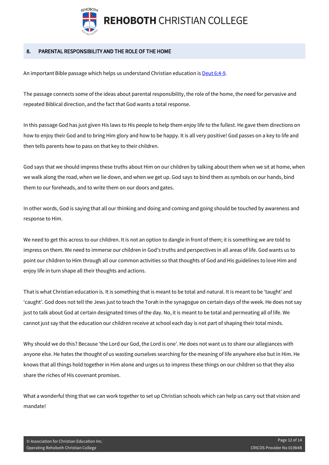

#### <span id="page-11-0"></span>8. PARENTAL RESPONSIBILITY AND THE ROLE OF THE HOME

An important Bible passage which helps us understand Christian education is [Deut 6:4-9.](https://biblia.com/bible/esv/Deut%206.%204-9)

The passage connects some of the ideas about parental responsibility, the role of the home, the need for pervasive and repeated Biblical direction, and the fact that God wants a total response.

In this passage God has just given His laws to His people to help them enjoy life to the fullest. He gave them directions on how to enjoy their God and to bring Him glory and how to be happy. It is all very positive! God passes on a key to life and then tells parents how to pass on that key to their children.

God says that we should impress these truths about Him on our children by talking about them when we sit at home, when we walk along the road, when we lie down, and when we get up. God says to bind them as symbols on our hands, bind them to our foreheads, and to write them on our doors and gates.

In other words, God is saying that all our thinking and doing and coming and going should be touched by awareness and response to Him.

We need to get this across to our children. It is not an option to dangle in front of them; it is something we are told to impress on them. We need to immerse our children in God's truths and perspectives in all areas of life. God wants us to point our children to Him through all our common activities so that thoughts of God and His guidelines to love Him and enjoy life in turn shape all their thoughts and actions.

That is what Christian education is. It is something that is meant to be total and natural. It is meant to be 'taught' and 'caught'. God does not tell the Jews just to teach the Torah in the synagogue on certain days of the week. He does not say just to talk about God at certain designated times of the day. No, it is meant to be total and permeating all of life. We cannot just say that the education our children receive at school each day is not part of shaping their total minds.

Why should we do this? Because 'the Lord our God, the Lord is one'. He does not want us to share our allegiances with anyone else. He hates the thought of us wasting ourselves searching for the meaning of life anywhere else but in Him. He knows that all things hold together in Him alone and urges us to impress these things on our children so that they also share the riches of His covenant promises.

What a wonderful thing that we can work together to set up Christian schools which can help us carry out that vision and mandate!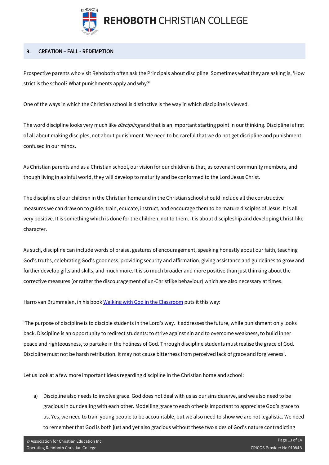

#### <span id="page-12-0"></span>9. CREATION – FALL - REDEMPTION

Prospective parents who visit Rehoboth often ask the Principals about discipline. Sometimes what they are asking is, 'How strict is the school? What punishments apply and why?'

One of the ways in which the Christian school is distinctive is the way in which discipline is viewed.

The word discipline looks very much like *discipling* and that is an important starting point in our thinking. Discipline is first of all about making disciples, not about punishment. We need to be careful that we do not get discipline and punishment confused in our minds.

As Christian parents and as a Christian school, our vision for our children is that, as covenant community members, and though living in a sinful world, they will develop to maturity and be conformed to the Lord Jesus Christ.

The discipline of our children in the Christian home and in the Christian school should include all the constructive measures we can draw on to guide, train, educate, instruct, and encourage them to be mature disciples of Jesus. It is all very positive. It is something which is done for the children, not to them. It is about discipleship and developing Christ-like character.

As such, discipline can include words of praise, gestures of encouragement, speaking honestly about our faith, teaching God's truths, celebrating God's goodness, providing security and affirmation, giving assistance and guidelines to grow and further develop gifts and skills, and much more. It is so much broader and more positive than just thinking about the corrective measures (or rather the discouragement of un-Christlike behaviour) which are also necessary at times.

Harro van Brummelen, in his book [Walking with God in the Classroom](https://www.amazon.com.au/Walking-God-Classroom-Christian-Approaches-ebook/dp/B004DL0LBU) puts it this way:

'The purpose of discipline is to disciple students in the Lord's way. It addresses the future, while punishment only looks back. Discipline is an opportunity to redirect students: to strive against sin and to overcome weakness, to build inner peace and righteousness, to partake in the holiness of God. Through discipline students must realise the grace of God. Discipline must not be harsh retribution. It may not cause bitterness from perceived lack of grace and forgiveness'.

Let us look at a few more important ideas regarding discipline in the Christian home and school:

a) Discipline also needs to involve grace. God does not deal with us as our sins deserve, and we also need to be gracious in our dealing with each other. Modelling grace to each other is important to appreciate God's grace to us. Yes, we need to train young people to be accountable, but we also need to show we are not legalistic. We need to remember that God is both just and yet also gracious without these two sides of God's nature contradicting